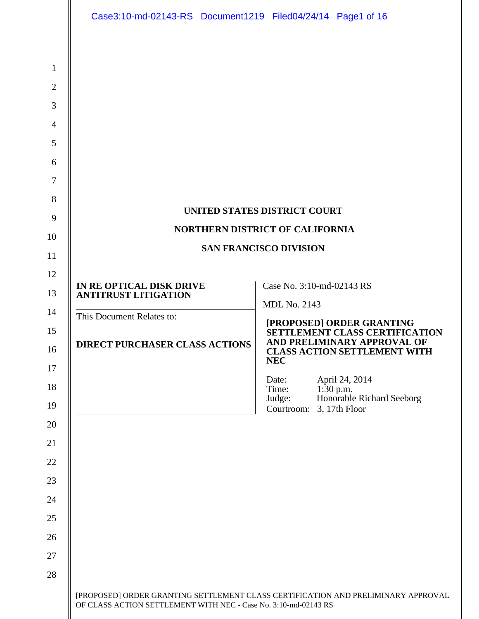|                | Case3:10-md-02143-RS Document1219 Filed04/24/14 Page1 of 16     |                                                                                            |  |  |
|----------------|-----------------------------------------------------------------|--------------------------------------------------------------------------------------------|--|--|
|                |                                                                 |                                                                                            |  |  |
| $\mathbf{1}$   |                                                                 |                                                                                            |  |  |
| $\overline{2}$ |                                                                 |                                                                                            |  |  |
| 3              |                                                                 |                                                                                            |  |  |
| $\overline{4}$ |                                                                 |                                                                                            |  |  |
| 5              |                                                                 |                                                                                            |  |  |
| 6              |                                                                 |                                                                                            |  |  |
| $\tau$         |                                                                 |                                                                                            |  |  |
| 8              |                                                                 |                                                                                            |  |  |
| 9              |                                                                 | UNITED STATES DISTRICT COURT                                                               |  |  |
| 10             |                                                                 | <b>NORTHERN DISTRICT OF CALIFORNIA</b>                                                     |  |  |
| 11             | <b>SAN FRANCISCO DIVISION</b>                                   |                                                                                            |  |  |
| 12             | IN RE OPTICAL DISK DRIVE                                        | Case No. 3:10-md-02143 RS                                                                  |  |  |
| 13             | <b>ANTITRUST LITIGATION</b>                                     | <b>MDL No. 2143</b>                                                                        |  |  |
| 14             | This Document Relates to:                                       |                                                                                            |  |  |
| 15<br>16       | <b>DIRECT PURCHASER CLASS ACTIONS</b>                           | [PROPOSED] ORDER GRANTING<br>SETTLEMENT CLASS CERTIFICATION<br>AND PRELIMINARY APPROVAL OF |  |  |
| 17             |                                                                 | <b>CLASS ACTION SETTLEMENT WITH</b><br><b>NEC</b>                                          |  |  |
| 18             |                                                                 | April 24, 2014<br>Date:<br>$1:30$ p.m.<br>Time:                                            |  |  |
| 19             |                                                                 | Honorable Richard Seeborg<br>Judge:<br>3, 17th Floor<br>Courtroom:                         |  |  |
| 20             |                                                                 |                                                                                            |  |  |
| 21             |                                                                 |                                                                                            |  |  |
| 22             |                                                                 |                                                                                            |  |  |
| 23             |                                                                 |                                                                                            |  |  |
| 24             |                                                                 |                                                                                            |  |  |
| 25             |                                                                 |                                                                                            |  |  |
| 26             |                                                                 |                                                                                            |  |  |
| 27             |                                                                 |                                                                                            |  |  |
| 28             |                                                                 |                                                                                            |  |  |
|                | OF CLASS ACTION SETTLEMENT WITH NEC - Case No. 3:10-md-02143 RS | [PROPOSED] ORDER GRANTING SETTLEMENT CLASS CERTIFICATION AND PRELIMINARY APPROVAL          |  |  |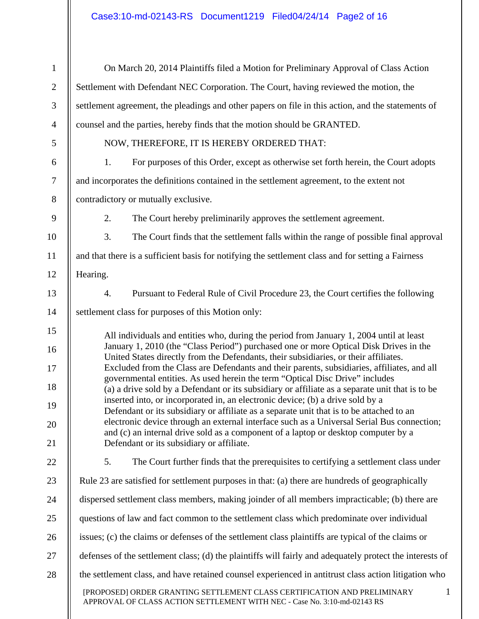| $\mathbf{1}$   | On March 20, 2014 Plaintiffs filed a Motion for Preliminary Approval of Class Action                                                                                             |              |  |
|----------------|----------------------------------------------------------------------------------------------------------------------------------------------------------------------------------|--------------|--|
| $\mathfrak{2}$ | Settlement with Defendant NEC Corporation. The Court, having reviewed the motion, the                                                                                            |              |  |
| 3              | settlement agreement, the pleadings and other papers on file in this action, and the statements of                                                                               |              |  |
| $\overline{4}$ | counsel and the parties, hereby finds that the motion should be GRANTED.                                                                                                         |              |  |
| $\mathfrak{S}$ | NOW, THEREFORE, IT IS HEREBY ORDERED THAT:                                                                                                                                       |              |  |
| 6              | 1.<br>For purposes of this Order, except as otherwise set forth herein, the Court adopts                                                                                         |              |  |
| $\tau$         | and incorporates the definitions contained in the settlement agreement, to the extent not                                                                                        |              |  |
| $8\,$          | contradictory or mutually exclusive.                                                                                                                                             |              |  |
| 9              | 2.<br>The Court hereby preliminarily approves the settlement agreement.                                                                                                          |              |  |
| 10             | 3.<br>The Court finds that the settlement falls within the range of possible final approval                                                                                      |              |  |
| 11             | and that there is a sufficient basis for notifying the settlement class and for setting a Fairness                                                                               |              |  |
| 12             | Hearing.                                                                                                                                                                         |              |  |
| 13             | Pursuant to Federal Rule of Civil Procedure 23, the Court certifies the following<br>4.                                                                                          |              |  |
| 14             | settlement class for purposes of this Motion only:                                                                                                                               |              |  |
| 15             | All individuals and entities who, during the period from January 1, 2004 until at least                                                                                          |              |  |
| 16             | January 1, 2010 (the "Class Period") purchased one or more Optical Disk Drives in the<br>United States directly from the Defendants, their subsidiaries, or their affiliates.    |              |  |
| 17             | Excluded from the Class are Defendants and their parents, subsidiaries, affiliates, and all<br>governmental entities. As used herein the term "Optical Disc Drive" includes      |              |  |
| 18             | (a) a drive sold by a Defendant or its subsidiary or affiliate as a separate unit that is to be                                                                                  |              |  |
| 19             | inserted into, or incorporated in, an electronic device; (b) a drive sold by a<br>Defendant or its subsidiary or affiliate as a separate unit that is to be attached to an       |              |  |
| 20             | electronic device through an external interface such as a Universal Serial Bus connection;<br>and (c) an internal drive sold as a component of a laptop or desktop computer by a |              |  |
| 21             | Defendant or its subsidiary or affiliate.                                                                                                                                        |              |  |
| 22             | 5.<br>The Court further finds that the prerequisites to certifying a settlement class under                                                                                      |              |  |
| 23             | Rule 23 are satisfied for settlement purposes in that: (a) there are hundreds of geographically                                                                                  |              |  |
| 24             | dispersed settlement class members, making joinder of all members impracticable; (b) there are                                                                                   |              |  |
| 25             | questions of law and fact common to the settlement class which predominate over individual                                                                                       |              |  |
| 26             | issues; (c) the claims or defenses of the settlement class plaintiffs are typical of the claims or                                                                               |              |  |
| 27             | defenses of the settlement class; (d) the plaintiffs will fairly and adequately protect the interests of                                                                         |              |  |
| 28             | the settlement class, and have retained counsel experienced in antitrust class action litigation who                                                                             |              |  |
|                | [PROPOSED] ORDER GRANTING SETTLEMENT CLASS CERTIFICATION AND PRELIMINARY<br>APPROVAL OF CLASS ACTION SETTLEMENT WITH NEC - Case No. 3:10-md-02143 RS                             | $\mathbf{1}$ |  |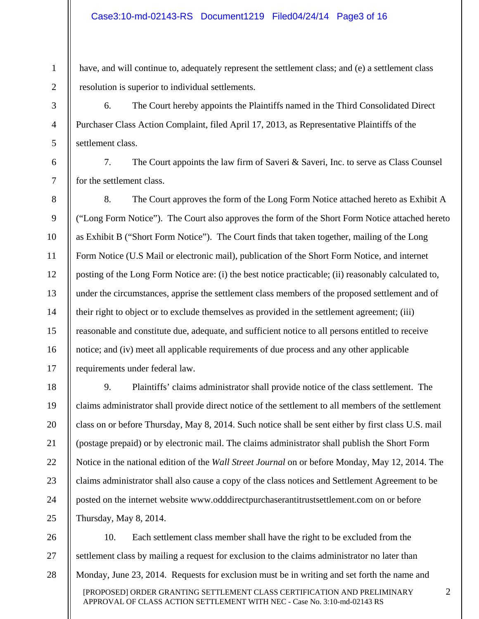1

2

3

4

5

6

7

8

9

10

11

12

13

14

15

16

17

have, and will continue to, adequately represent the settlement class; and (e) a settlement class resolution is superior to individual settlements.

6. The Court hereby appoints the Plaintiffs named in the Third Consolidated Direct Purchaser Class Action Complaint, filed April 17, 2013, as Representative Plaintiffs of the settlement class.

7. The Court appoints the law firm of Saveri & Saveri, Inc. to serve as Class Counsel for the settlement class.

8. The Court approves the form of the Long Form Notice attached hereto as Exhibit A ("Long Form Notice"). The Court also approves the form of the Short Form Notice attached hereto as Exhibit B ("Short Form Notice"). The Court finds that taken together, mailing of the Long Form Notice (U.S Mail or electronic mail), publication of the Short Form Notice, and internet posting of the Long Form Notice are: (i) the best notice practicable; (ii) reasonably calculated to, under the circumstances, apprise the settlement class members of the proposed settlement and of their right to object or to exclude themselves as provided in the settlement agreement; (iii) reasonable and constitute due, adequate, and sufficient notice to all persons entitled to receive notice; and (iv) meet all applicable requirements of due process and any other applicable requirements under federal law.

18 19 20 21 22 23 24 25 9. Plaintiffs' claims administrator shall provide notice of the class settlement. The claims administrator shall provide direct notice of the settlement to all members of the settlement class on or before Thursday, May 8, 2014. Such notice shall be sent either by first class U.S. mail (postage prepaid) or by electronic mail. The claims administrator shall publish the Short Form Notice in the national edition of the *Wall Street Journal* on or before Monday, May 12, 2014. The claims administrator shall also cause a copy of the class notices and Settlement Agreement to be posted on the internet website www.odddirectpurchaserantitrustsettlement.com on or before Thursday, May 8, 2014.

[PROPOSED] ORDER GRANTING SETTLEMENT CLASS CERTIFICATION AND PRELIMINARY APPROVAL OF CLASS ACTION SETTLEMENT WITH NEC - Case No. 3:10-md-02143 RS 26 27 28 10. Each settlement class member shall have the right to be excluded from the settlement class by mailing a request for exclusion to the claims administrator no later than Monday, June 23, 2014. Requests for exclusion must be in writing and set forth the name and

2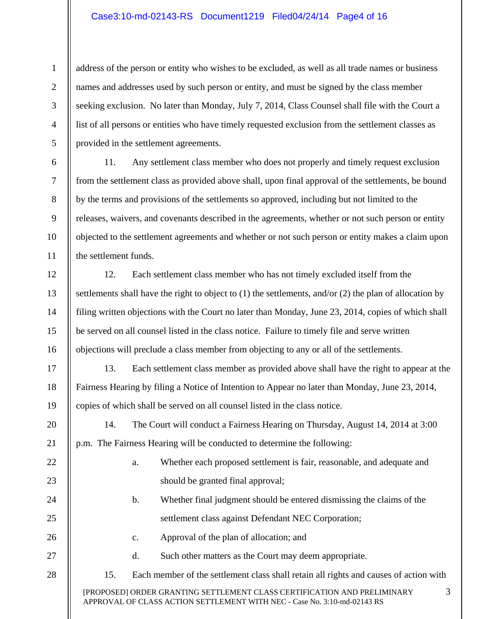#### Case3:10-md-02143-RS Document1219 Filed04/24/14 Page4 of 16

1

2

3

4

5

6

7

8

9

10

11

12

13

14

15

16

17

18

19

21

22

23

24

25

26

27

28

address of the person or entity who wishes to be excluded, as well as all trade names or business names and addresses used by such person or entity, and must be signed by the class member seeking exclusion. No later than Monday, July 7, 2014, Class Counsel shall file with the Court a list of all persons or entities who have timely requested exclusion from the settlement classes as provided in the settlement agreements.

11. Any settlement class member who does not properly and timely request exclusion from the settlement class as provided above shall, upon final approval of the settlements, be bound by the terms and provisions of the settlements so approved, including but not limited to the releases, waivers, and covenants described in the agreements, whether or not such person or entity objected to the settlement agreements and whether or not such person or entity makes a claim upon the settlement funds.

12. Each settlement class member who has not timely excluded itself from the settlements shall have the right to object to (1) the settlements, and/or (2) the plan of allocation by filing written objections with the Court no later than Monday, June 23, 2014, copies of which shall be served on all counsel listed in the class notice. Failure to timely file and serve written objections will preclude a class member from objecting to any or all of the settlements.

13. Each settlement class member as provided above shall have the right to appear at the Fairness Hearing by filing a Notice of Intention to Appear no later than Monday, June 23, 2014, copies of which shall be served on all counsel listed in the class notice.

20 14. The Court will conduct a Fairness Hearing on Thursday, August 14, 2014 at 3:00 p.m. The Fairness Hearing will be conducted to determine the following:

- a. Whether each proposed settlement is fair, reasonable, and adequate and should be granted final approval;
- b. Whether final judgment should be entered dismissing the claims of the settlement class against Defendant NEC Corporation;

3

- c. Approval of the plan of allocation; and
	- d. Such other matters as the Court may deem appropriate.
- 15. Each member of the settlement class shall retain all rights and causes of action with

[PROPOSED] ORDER GRANTING SETTLEMENT CLASS CERTIFICATION AND PRELIMINARY APPROVAL OF CLASS ACTION SETTLEMENT WITH NEC - Case No. 3:10-md-02143 RS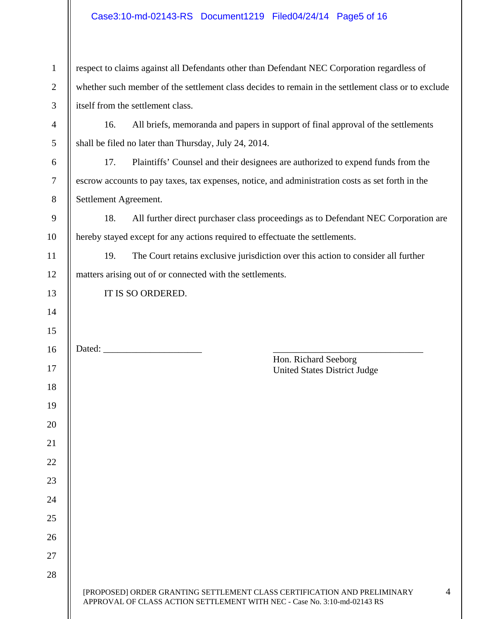# Case3:10-md-02143-RS Document1219 Filed04/24/14 Page5 of 16

| $\mathbf{1}$   | respect to claims against all Defendants other than Defendant NEC Corporation regardless of         |                |  |
|----------------|-----------------------------------------------------------------------------------------------------|----------------|--|
| $\mathbf{2}$   | whether such member of the settlement class decides to remain in the settlement class or to exclude |                |  |
| 3              | itself from the settlement class.                                                                   |                |  |
| $\overline{4}$ | 16.<br>All briefs, memoranda and papers in support of final approval of the settlements             |                |  |
| 5              | shall be filed no later than Thursday, July 24, 2014.                                               |                |  |
| 6              | 17.<br>Plaintiffs' Counsel and their designees are authorized to expend funds from the              |                |  |
| 7              | escrow accounts to pay taxes, tax expenses, notice, and administration costs as set forth in the    |                |  |
| 8              | Settlement Agreement.                                                                               |                |  |
| 9              | 18.<br>All further direct purchaser class proceedings as to Defendant NEC Corporation are           |                |  |
| 10             | hereby stayed except for any actions required to effectuate the settlements.                        |                |  |
| 11             | 19.<br>The Court retains exclusive jurisdiction over this action to consider all further            |                |  |
| 12             | matters arising out of or connected with the settlements.                                           |                |  |
| 13             | IT IS SO ORDERED.                                                                                   |                |  |
| 14             |                                                                                                     |                |  |
| 15             |                                                                                                     |                |  |
|                |                                                                                                     |                |  |
| 16             |                                                                                                     |                |  |
| 17             | Hon. Richard Seeborg<br><b>United States District Judge</b>                                         |                |  |
| 18             |                                                                                                     |                |  |
| 19             |                                                                                                     |                |  |
| 20             |                                                                                                     |                |  |
| 21             |                                                                                                     |                |  |
| 22             |                                                                                                     |                |  |
| 23             |                                                                                                     |                |  |
| 24             |                                                                                                     |                |  |
| 25             |                                                                                                     |                |  |
| 26             |                                                                                                     |                |  |
| 27             |                                                                                                     |                |  |
| 28             |                                                                                                     | $\overline{4}$ |  |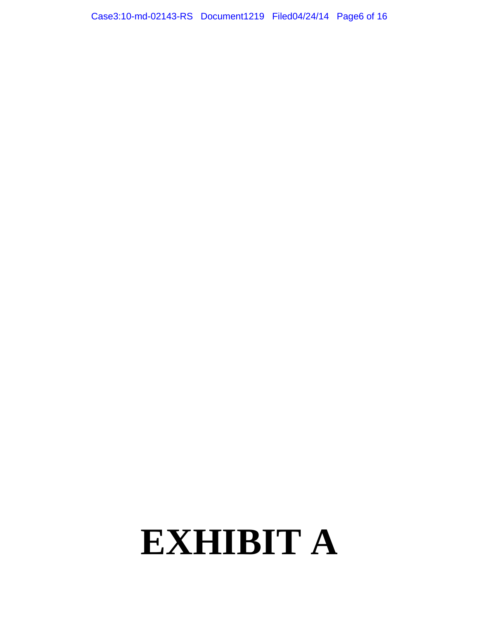Case3:10-md-02143-RS Document1219 Filed04/24/14 Page6 of 16

# **EXHIBIT A**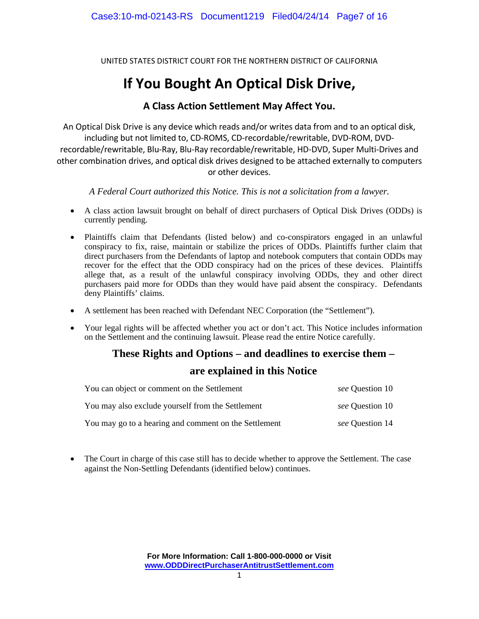UNITED STATES DISTRICT COURT FOR THE NORTHERN DISTRICT OF CALIFORNIA

# **If You Bought An Optical Disk Drive,**

## **A Class Action Settlement May Affect You.**

An Optical Disk Drive is any device which reads and/or writes data from and to an optical disk, including but not limited to, CD‐ROMS, CD‐recordable/rewritable, DVD‐ROM, DVD‐ recordable/rewritable, Blu‐Ray, Blu‐Ray recordable/rewritable, HD‐DVD, Super Multi‐Drives and other combination drives, and optical disk drives designed to be attached externally to computers or other devices.

*A Federal Court authorized this Notice. This is not a solicitation from a lawyer.* 

- A class action lawsuit brought on behalf of direct purchasers of Optical Disk Drives (ODDs) is currently pending.
- Plaintiffs claim that Defendants (listed below) and co-conspirators engaged in an unlawful conspiracy to fix, raise, maintain or stabilize the prices of ODDs. Plaintiffs further claim that direct purchasers from the Defendants of laptop and notebook computers that contain ODDs may recover for the effect that the ODD conspiracy had on the prices of these devices. Plaintiffs allege that, as a result of the unlawful conspiracy involving ODDs, they and other direct purchasers paid more for ODDs than they would have paid absent the conspiracy. Defendants deny Plaintiffs' claims.
- A settlement has been reached with Defendant NEC Corporation (the "Settlement").
- Your legal rights will be affected whether you act or don't act. This Notice includes information on the Settlement and the continuing lawsuit. Please read the entire Notice carefully.

## **These Rights and Options – and deadlines to exercise them –**

### **are explained in this Notice**

| You can object or comment on the Settlement           | see Question 10 |
|-------------------------------------------------------|-----------------|
| You may also exclude yourself from the Settlement     | see Question 10 |
| You may go to a hearing and comment on the Settlement | see Question 14 |

• The Court in charge of this case still has to decide whether to approve the Settlement. The case against the Non-Settling Defendants (identified below) continues.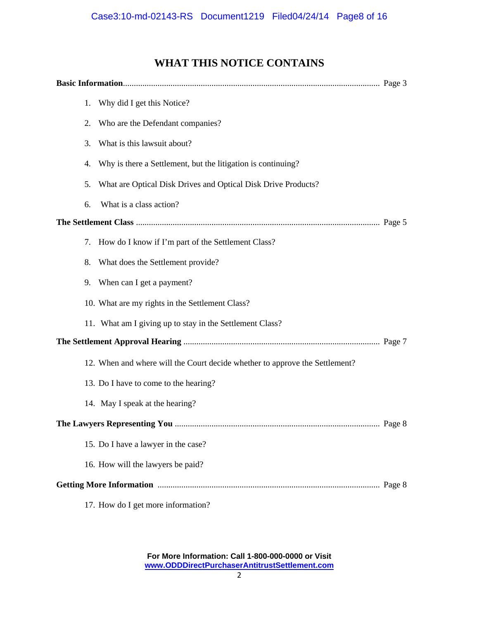# **WHAT THIS NOTICE CONTAINS**

|  | 1. | Why did I get this Notice?                                                  |  |
|--|----|-----------------------------------------------------------------------------|--|
|  | 2. | Who are the Defendant companies?                                            |  |
|  | 3. | What is this lawsuit about?                                                 |  |
|  | 4. | Why is there a Settlement, but the litigation is continuing?                |  |
|  | 5. | What are Optical Disk Drives and Optical Disk Drive Products?               |  |
|  | 6. | What is a class action?                                                     |  |
|  |    |                                                                             |  |
|  | 7. | How do I know if I'm part of the Settlement Class?                          |  |
|  | 8. | What does the Settlement provide?                                           |  |
|  | 9. | When can I get a payment?                                                   |  |
|  |    | 10. What are my rights in the Settlement Class?                             |  |
|  |    | 11. What am I giving up to stay in the Settlement Class?                    |  |
|  |    |                                                                             |  |
|  |    | 12. When and where will the Court decide whether to approve the Settlement? |  |
|  |    | 13. Do I have to come to the hearing?                                       |  |
|  |    | 14. May I speak at the hearing?                                             |  |
|  |    |                                                                             |  |
|  |    | 15. Do I have a lawyer in the case?                                         |  |
|  |    | 16. How will the lawyers be paid?                                           |  |
|  |    |                                                                             |  |
|  |    | 17. How do I get more information?                                          |  |

**For More Information: Call 1-800-000-0000 or Visit www.ODDDirectPurchaserAntitrustSettlement.com**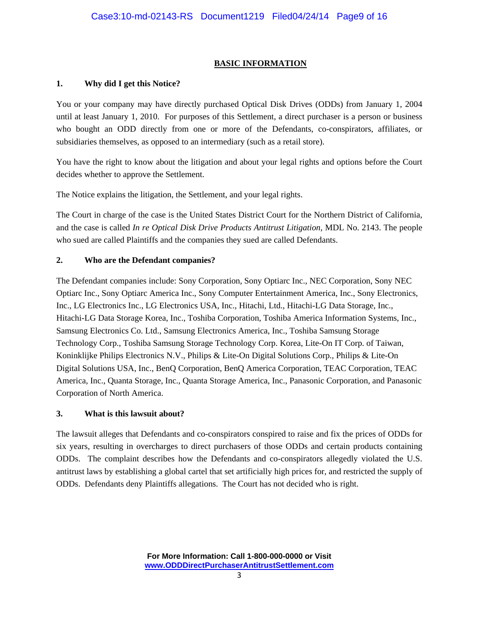#### **BASIC INFORMATION**

#### **1. Why did I get this Notice?**

You or your company may have directly purchased Optical Disk Drives (ODDs) from January 1, 2004 until at least January 1, 2010. For purposes of this Settlement, a direct purchaser is a person or business who bought an ODD directly from one or more of the Defendants, co-conspirators, affiliates, or subsidiaries themselves, as opposed to an intermediary (such as a retail store).

You have the right to know about the litigation and about your legal rights and options before the Court decides whether to approve the Settlement.

The Notice explains the litigation, the Settlement, and your legal rights.

The Court in charge of the case is the United States District Court for the Northern District of California, and the case is called *In re Optical Disk Drive Products Antitrust Litigation*, MDL No. 2143. The people who sued are called Plaintiffs and the companies they sued are called Defendants.

#### **2. Who are the Defendant companies?**

The Defendant companies include: Sony Corporation, Sony Optiarc Inc., NEC Corporation, Sony NEC Optiarc Inc., Sony Optiarc America Inc., Sony Computer Entertainment America, Inc., Sony Electronics, Inc., LG Electronics Inc., LG Electronics USA, Inc., Hitachi, Ltd., Hitachi-LG Data Storage, Inc., Hitachi-LG Data Storage Korea, Inc., Toshiba Corporation, Toshiba America Information Systems, Inc., Samsung Electronics Co. Ltd., Samsung Electronics America, Inc., Toshiba Samsung Storage Technology Corp., Toshiba Samsung Storage Technology Corp. Korea, Lite-On IT Corp. of Taiwan, Koninklijke Philips Electronics N.V., Philips & Lite-On Digital Solutions Corp., Philips & Lite-On Digital Solutions USA, Inc., BenQ Corporation, BenQ America Corporation, TEAC Corporation, TEAC America, Inc., Quanta Storage, Inc., Quanta Storage America, Inc., Panasonic Corporation, and Panasonic Corporation of North America.

#### **3. What is this lawsuit about?**

The lawsuit alleges that Defendants and co-conspirators conspired to raise and fix the prices of ODDs for six years, resulting in overcharges to direct purchasers of those ODDs and certain products containing ODDs. The complaint describes how the Defendants and co-conspirators allegedly violated the U.S. antitrust laws by establishing a global cartel that set artificially high prices for, and restricted the supply of ODDs. Defendants deny Plaintiffs allegations. The Court has not decided who is right.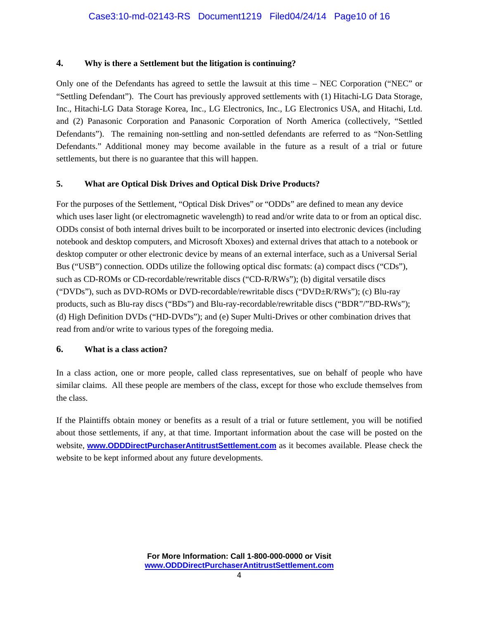#### **4. Why is there a Settlement but the litigation is continuing?**

Only one of the Defendants has agreed to settle the lawsuit at this time – NEC Corporation ("NEC" or "Settling Defendant"). The Court has previously approved settlements with (1) Hitachi-LG Data Storage, Inc., Hitachi-LG Data Storage Korea, Inc., LG Electronics, Inc., LG Electronics USA, and Hitachi, Ltd. and (2) Panasonic Corporation and Panasonic Corporation of North America (collectively, "Settled Defendants"). The remaining non-settling and non-settled defendants are referred to as "Non-Settling Defendants." Additional money may become available in the future as a result of a trial or future settlements, but there is no guarantee that this will happen.

#### **5. What are Optical Disk Drives and Optical Disk Drive Products?**

For the purposes of the Settlement, "Optical Disk Drives" or "ODDs" are defined to mean any device which uses laser light (or electromagnetic wavelength) to read and/or write data to or from an optical disc. ODDs consist of both internal drives built to be incorporated or inserted into electronic devices (including notebook and desktop computers, and Microsoft Xboxes) and external drives that attach to a notebook or desktop computer or other electronic device by means of an external interface, such as a Universal Serial Bus ("USB") connection. ODDs utilize the following optical disc formats: (a) compact discs ("CDs"), such as CD-ROMs or CD-recordable/rewritable discs ("CD-R/RWs"); (b) digital versatile discs ("DVDs"), such as DVD-ROMs or DVD-recordable/rewritable discs ("DVD±R/RWs"); (c) Blu-ray products, such as Blu-ray discs ("BDs") and Blu-ray-recordable/rewritable discs ("BDR"/"BD-RWs"); (d) High Definition DVDs ("HD-DVDs"); and (e) Super Multi-Drives or other combination drives that read from and/or write to various types of the foregoing media.

#### **6. What is a class action?**

In a class action, one or more people, called class representatives, sue on behalf of people who have similar claims. All these people are members of the class, except for those who exclude themselves from the class.

If the Plaintiffs obtain money or benefits as a result of a trial or future settlement, you will be notified about those settlements, if any, at that time. Important information about the case will be posted on the website, **www.ODDDirectPurchaserAntitrustSettlement.com** as it becomes available. Please check the website to be kept informed about any future developments.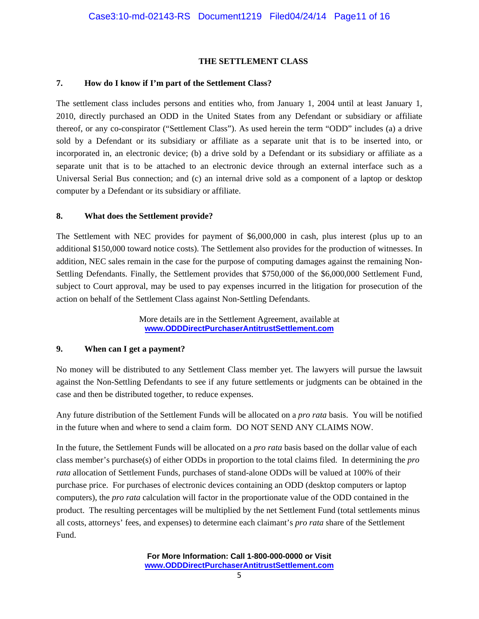#### **THE SETTLEMENT CLASS**

#### **7. How do I know if I'm part of the Settlement Class?**

The settlement class includes persons and entities who, from January 1, 2004 until at least January 1, 2010, directly purchased an ODD in the United States from any Defendant or subsidiary or affiliate thereof, or any co-conspirator ("Settlement Class"). As used herein the term "ODD" includes (a) a drive sold by a Defendant or its subsidiary or affiliate as a separate unit that is to be inserted into, or incorporated in, an electronic device; (b) a drive sold by a Defendant or its subsidiary or affiliate as a separate unit that is to be attached to an electronic device through an external interface such as a Universal Serial Bus connection; and (c) an internal drive sold as a component of a laptop or desktop computer by a Defendant or its subsidiary or affiliate.

#### **8. What does the Settlement provide?**

The Settlement with NEC provides for payment of \$6,000,000 in cash, plus interest (plus up to an additional \$150,000 toward notice costs). The Settlement also provides for the production of witnesses. In addition, NEC sales remain in the case for the purpose of computing damages against the remaining Non-Settling Defendants. Finally, the Settlement provides that \$750,000 of the \$6,000,000 Settlement Fund, subject to Court approval, may be used to pay expenses incurred in the litigation for prosecution of the action on behalf of the Settlement Class against Non-Settling Defendants.

> More details are in the Settlement Agreement, available at **www.ODDDirectPurchaserAntitrustSettlement.com**

#### **9. When can I get a payment?**

No money will be distributed to any Settlement Class member yet. The lawyers will pursue the lawsuit against the Non-Settling Defendants to see if any future settlements or judgments can be obtained in the case and then be distributed together, to reduce expenses.

Any future distribution of the Settlement Funds will be allocated on a *pro rata* basis. You will be notified in the future when and where to send a claim form. DO NOT SEND ANY CLAIMS NOW.

In the future, the Settlement Funds will be allocated on a *pro rata* basis based on the dollar value of each class member's purchase(s) of either ODDs in proportion to the total claims filed. In determining the *pro rata* allocation of Settlement Funds, purchases of stand-alone ODDs will be valued at 100% of their purchase price. For purchases of electronic devices containing an ODD (desktop computers or laptop computers), the *pro rata* calculation will factor in the proportionate value of the ODD contained in the product. The resulting percentages will be multiplied by the net Settlement Fund (total settlements minus all costs, attorneys' fees, and expenses) to determine each claimant's *pro rata* share of the Settlement Fund.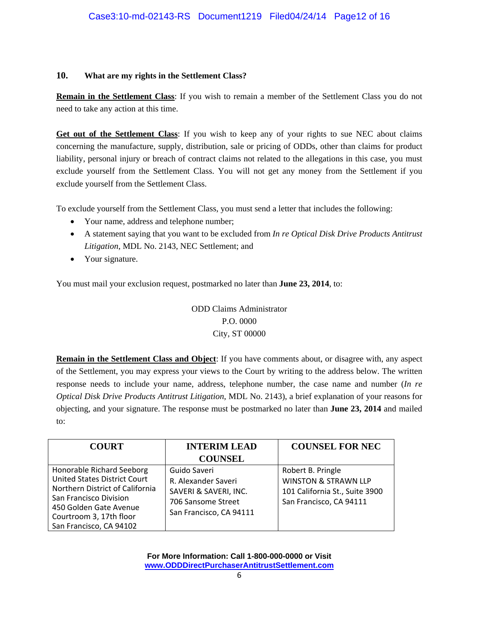#### **10. What are my rights in the Settlement Class?**

**Remain in the Settlement Class**: If you wish to remain a member of the Settlement Class you do not need to take any action at this time.

**Get out of the Settlement Class**: If you wish to keep any of your rights to sue NEC about claims concerning the manufacture, supply, distribution, sale or pricing of ODDs, other than claims for product liability, personal injury or breach of contract claims not related to the allegations in this case, you must exclude yourself from the Settlement Class. You will not get any money from the Settlement if you exclude yourself from the Settlement Class.

To exclude yourself from the Settlement Class, you must send a letter that includes the following:

- Your name, address and telephone number;
- A statement saying that you want to be excluded from *In re Optical Disk Drive Products Antitrust Litigation*, MDL No. 2143, NEC Settlement; and
- Your signature.

You must mail your exclusion request, postmarked no later than **June 23, 2014**, to:

ODD Claims Administrator P.O. 0000 City, ST 00000

**Remain in the Settlement Class and Object**: If you have comments about, or disagree with, any aspect of the Settlement, you may express your views to the Court by writing to the address below. The written response needs to include your name, address, telephone number, the case name and number (*In re Optical Disk Drive Products Antitrust Litigation*, MDL No. 2143), a brief explanation of your reasons for objecting, and your signature. The response must be postmarked no later than **June 23, 2014** and mailed to:

| <b>COURT</b>                                                                                                                                                                                                  | <b>INTERIM LEAD</b>                                                                                           | <b>COUNSEL FOR NEC</b>                                                                                            |
|---------------------------------------------------------------------------------------------------------------------------------------------------------------------------------------------------------------|---------------------------------------------------------------------------------------------------------------|-------------------------------------------------------------------------------------------------------------------|
|                                                                                                                                                                                                               | <b>COUNSEL</b>                                                                                                |                                                                                                                   |
| Honorable Richard Seeborg<br><b>United States District Court</b><br>Northern District of California<br>San Francisco Division<br>450 Golden Gate Avenue<br>Courtroom 3, 17th floor<br>San Francisco, CA 94102 | Guido Saveri<br>R. Alexander Saveri<br>SAVERI & SAVERI, INC.<br>706 Sansome Street<br>San Francisco, CA 94111 | Robert B. Pringle<br><b>WINSTON &amp; STRAWN LLP</b><br>101 California St., Suite 3900<br>San Francisco, CA 94111 |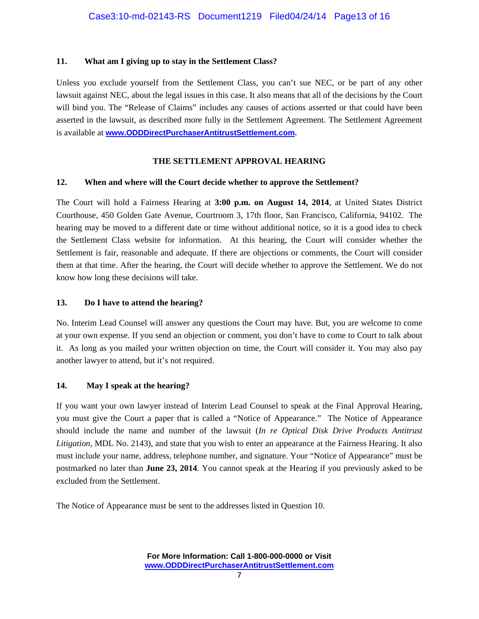#### **11. What am I giving up to stay in the Settlement Class?**

Unless you exclude yourself from the Settlement Class, you can't sue NEC, or be part of any other lawsuit against NEC, about the legal issues in this case. It also means that all of the decisions by the Court will bind you. The "Release of Claims" includes any causes of actions asserted or that could have been asserted in the lawsuit, as described more fully in the Settlement Agreement. The Settlement Agreement is available at **www.ODDDirectPurchaserAntitrustSettlement.com.** 

#### **THE SETTLEMENT APPROVAL HEARING**

#### **12. When and where will the Court decide whether to approve the Settlement?**

The Court will hold a Fairness Hearing at **3:00 p.m. on August 14, 2014**, at United States District Courthouse, 450 Golden Gate Avenue, Courtroom 3, 17th floor, San Francisco, California, 94102. The hearing may be moved to a different date or time without additional notice, so it is a good idea to check the Settlement Class website for information. At this hearing, the Court will consider whether the Settlement is fair, reasonable and adequate. If there are objections or comments, the Court will consider them at that time. After the hearing, the Court will decide whether to approve the Settlement. We do not know how long these decisions will take.

#### **13. Do I have to attend the hearing?**

No. Interim Lead Counsel will answer any questions the Court may have. But, you are welcome to come at your own expense. If you send an objection or comment, you don't have to come to Court to talk about it. As long as you mailed your written objection on time, the Court will consider it. You may also pay another lawyer to attend, but it's not required.

#### **14. May I speak at the hearing?**

If you want your own lawyer instead of Interim Lead Counsel to speak at the Final Approval Hearing, you must give the Court a paper that is called a "Notice of Appearance." The Notice of Appearance should include the name and number of the lawsuit (*In re Optical Disk Drive Products Antitrust Litigation*, MDL No. 2143), and state that you wish to enter an appearance at the Fairness Hearing. It also must include your name, address, telephone number, and signature. Your "Notice of Appearance" must be postmarked no later than **June 23, 2014**. You cannot speak at the Hearing if you previously asked to be excluded from the Settlement.

The Notice of Appearance must be sent to the addresses listed in Question 10.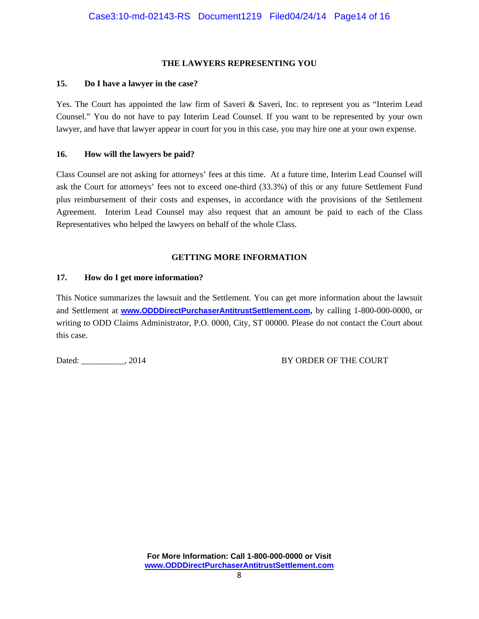#### **THE LAWYERS REPRESENTING YOU**

#### **15. Do I have a lawyer in the case?**

Yes. The Court has appointed the law firm of Saveri & Saveri, Inc. to represent you as "Interim Lead Counsel." You do not have to pay Interim Lead Counsel. If you want to be represented by your own lawyer, and have that lawyer appear in court for you in this case, you may hire one at your own expense.

#### **16. How will the lawyers be paid?**

Class Counsel are not asking for attorneys' fees at this time. At a future time, Interim Lead Counsel will ask the Court for attorneys' fees not to exceed one-third (33.3%) of this or any future Settlement Fund plus reimbursement of their costs and expenses, in accordance with the provisions of the Settlement Agreement. Interim Lead Counsel may also request that an amount be paid to each of the Class Representatives who helped the lawyers on behalf of the whole Class.

#### **GETTING MORE INFORMATION**

#### **17. How do I get more information?**

This Notice summarizes the lawsuit and the Settlement. You can get more information about the lawsuit and Settlement at **www.ODDDirectPurchaserAntitrustSettlement.com,** by calling 1-800-000-0000, or writing to ODD Claims Administrator, P.O. 0000, City, ST 00000. Please do not contact the Court about this case.

Dated: \_\_\_\_\_\_\_\_\_\_, 2014 BY ORDER OF THE COURT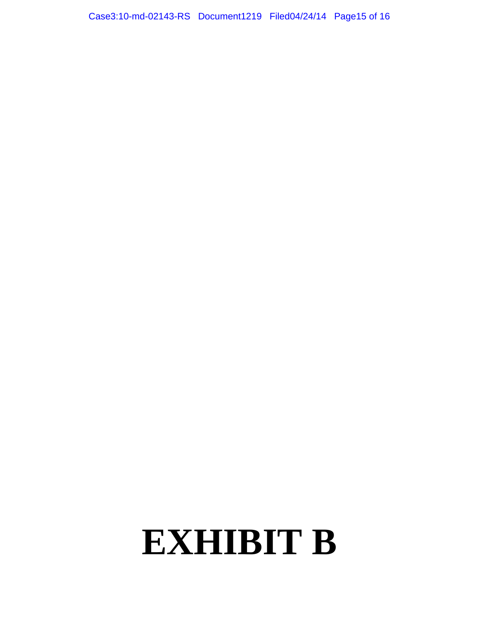Case3:10-md-02143-RS Document1219 Filed04/24/14 Page15 of 16

# **EXHIBIT B**